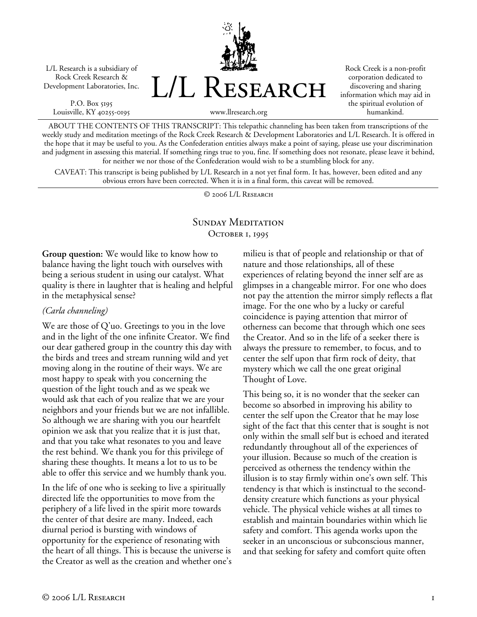L/L Research is a subsidiary of Rock Creek Research & Development Laboratories, Inc.

P.O. Box 5195 Louisville, KY 40255-0195



Rock Creek is a non-profit corporation dedicated to discovering and sharing information which may aid in the spiritual evolution of humankind.

www.llresearch.org

ABOUT THE CONTENTS OF THIS TRANSCRIPT: This telepathic channeling has been taken from transcriptions of the weekly study and meditation meetings of the Rock Creek Research & Development Laboratories and L/L Research. It is offered in the hope that it may be useful to you. As the Confederation entities always make a point of saying, please use your discrimination and judgment in assessing this material. If something rings true to you, fine. If something does not resonate, please leave it behind, for neither we nor those of the Confederation would wish to be a stumbling block for any.

CAVEAT: This transcript is being published by L/L Research in a not yet final form. It has, however, been edited and any obvious errors have been corrected. When it is in a final form, this caveat will be removed.

© 2006 L/L Research

# SUNDAY MEDITATION OCTOBER 1, 1995

**Group question:** We would like to know how to balance having the light touch with ourselves with being a serious student in using our catalyst. What quality is there in laughter that is healing and helpful in the metaphysical sense?

## *(Carla channeling)*

We are those of Q'uo. Greetings to you in the love and in the light of the one infinite Creator. We find our dear gathered group in the country this day with the birds and trees and stream running wild and yet moving along in the routine of their ways. We are most happy to speak with you concerning the question of the light touch and as we speak we would ask that each of you realize that we are your neighbors and your friends but we are not infallible. So although we are sharing with you our heartfelt opinion we ask that you realize that it is just that, and that you take what resonates to you and leave the rest behind. We thank you for this privilege of sharing these thoughts. It means a lot to us to be able to offer this service and we humbly thank you.

In the life of one who is seeking to live a spiritually directed life the opportunities to move from the periphery of a life lived in the spirit more towards the center of that desire are many. Indeed, each diurnal period is bursting with windows of opportunity for the experience of resonating with the heart of all things. This is because the universe is the Creator as well as the creation and whether one's milieu is that of people and relationship or that of nature and those relationships, all of these experiences of relating beyond the inner self are as glimpses in a changeable mirror. For one who does not pay the attention the mirror simply reflects a flat image. For the one who by a lucky or careful coincidence is paying attention that mirror of otherness can become that through which one sees the Creator. And so in the life of a seeker there is always the pressure to remember, to focus, and to center the self upon that firm rock of deity, that mystery which we call the one great original Thought of Love.

This being so, it is no wonder that the seeker can become so absorbed in improving his ability to center the self upon the Creator that he may lose sight of the fact that this center that is sought is not only within the small self but is echoed and iterated redundantly throughout all of the experiences of your illusion. Because so much of the creation is perceived as otherness the tendency within the illusion is to stay firmly within one's own self. This tendency is that which is instinctual to the seconddensity creature which functions as your physical vehicle. The physical vehicle wishes at all times to establish and maintain boundaries within which lie safety and comfort. This agenda works upon the seeker in an unconscious or subconscious manner, and that seeking for safety and comfort quite often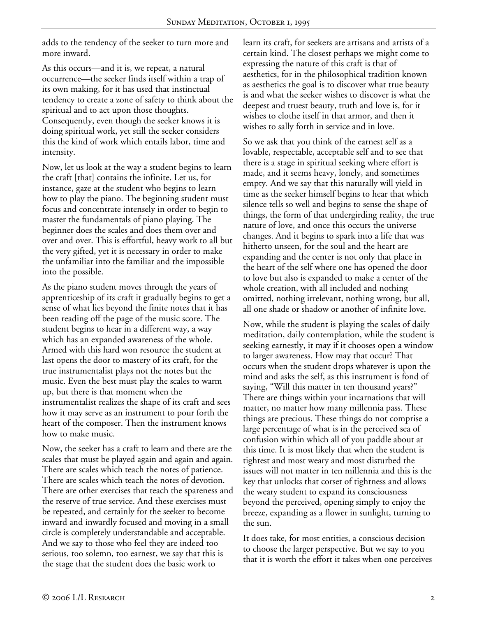adds to the tendency of the seeker to turn more and more inward.

As this occurs—and it is, we repeat, a natural occurrence—the seeker finds itself within a trap of its own making, for it has used that instinctual tendency to create a zone of safety to think about the spiritual and to act upon those thoughts. Consequently, even though the seeker knows it is doing spiritual work, yet still the seeker considers this the kind of work which entails labor, time and intensity.

Now, let us look at the way a student begins to learn the craft [that] contains the infinite. Let us, for instance, gaze at the student who begins to learn how to play the piano. The beginning student must focus and concentrate intensely in order to begin to master the fundamentals of piano playing. The beginner does the scales and does them over and over and over. This is effortful, heavy work to all but the very gifted, yet it is necessary in order to make the unfamiliar into the familiar and the impossible into the possible.

As the piano student moves through the years of apprenticeship of its craft it gradually begins to get a sense of what lies beyond the finite notes that it has been reading off the page of the music score. The student begins to hear in a different way, a way which has an expanded awareness of the whole. Armed with this hard won resource the student at last opens the door to mastery of its craft, for the true instrumentalist plays not the notes but the music. Even the best must play the scales to warm up, but there is that moment when the instrumentalist realizes the shape of its craft and sees how it may serve as an instrument to pour forth the heart of the composer. Then the instrument knows how to make music.

Now, the seeker has a craft to learn and there are the scales that must be played again and again and again. There are scales which teach the notes of patience. There are scales which teach the notes of devotion. There are other exercises that teach the spareness and the reserve of true service. And these exercises must be repeated, and certainly for the seeker to become inward and inwardly focused and moving in a small circle is completely understandable and acceptable. And we say to those who feel they are indeed too serious, too solemn, too earnest, we say that this is the stage that the student does the basic work to

learn its craft, for seekers are artisans and artists of a certain kind. The closest perhaps we might come to expressing the nature of this craft is that of aesthetics, for in the philosophical tradition known as aesthetics the goal is to discover what true beauty is and what the seeker wishes to discover is what the deepest and truest beauty, truth and love is, for it wishes to clothe itself in that armor, and then it wishes to sally forth in service and in love.

So we ask that you think of the earnest self as a lovable, respectable, acceptable self and to see that there is a stage in spiritual seeking where effort is made, and it seems heavy, lonely, and sometimes empty. And we say that this naturally will yield in time as the seeker himself begins to hear that which silence tells so well and begins to sense the shape of things, the form of that undergirding reality, the true nature of love, and once this occurs the universe changes. And it begins to spark into a life that was hitherto unseen, for the soul and the heart are expanding and the center is not only that place in the heart of the self where one has opened the door to love but also is expanded to make a center of the whole creation, with all included and nothing omitted, nothing irrelevant, nothing wrong, but all, all one shade or shadow or another of infinite love.

Now, while the student is playing the scales of daily meditation, daily contemplation, while the student is seeking earnestly, it may if it chooses open a window to larger awareness. How may that occur? That occurs when the student drops whatever is upon the mind and asks the self, as this instrument is fond of saying, "Will this matter in ten thousand years?" There are things within your incarnations that will matter, no matter how many millennia pass. These things are precious. These things do not comprise a large percentage of what is in the perceived sea of confusion within which all of you paddle about at this time. It is most likely that when the student is tightest and most weary and most disturbed the issues will not matter in ten millennia and this is the key that unlocks that corset of tightness and allows the weary student to expand its consciousness beyond the perceived, opening simply to enjoy the breeze, expanding as a flower in sunlight, turning to the sun.

It does take, for most entities, a conscious decision to choose the larger perspective. But we say to you that it is worth the effort it takes when one perceives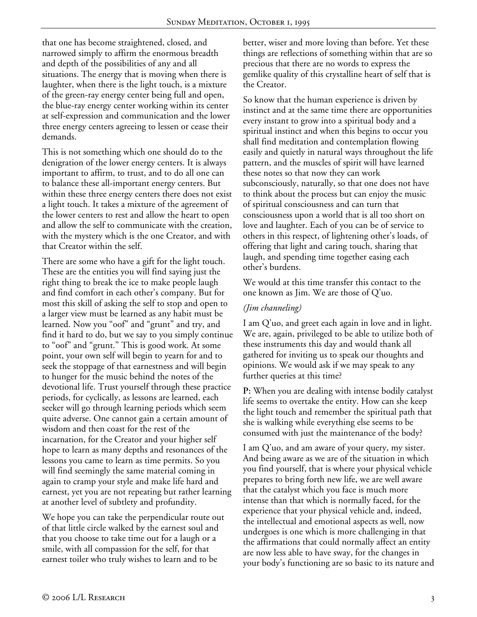that one has become straightened, closed, and narrowed simply to affirm the enormous breadth and depth of the possibilities of any and all situations. The energy that is moving when there is laughter, when there is the light touch, is a mixture of the green-ray energy center being full and open, the blue-ray energy center working within its center at self-expression and communication and the lower three energy centers agreeing to lessen or cease their demands.

This is not something which one should do to the denigration of the lower energy centers. It is always important to affirm, to trust, and to do all one can to balance these all-important energy centers. But within these three energy centers there does not exist a light touch. It takes a mixture of the agreement of the lower centers to rest and allow the heart to open and allow the self to communicate with the creation, with the mystery which is the one Creator, and with that Creator within the self.

There are some who have a gift for the light touch. These are the entities you will find saying just the right thing to break the ice to make people laugh and find comfort in each other's company. But for most this skill of asking the self to stop and open to a larger view must be learned as any habit must be learned. Now you "oof" and "grunt" and try, and find it hard to do, but we say to you simply continue to "oof" and "grunt." This is good work. At some point, your own self will begin to yearn for and to seek the stoppage of that earnestness and will begin to hunger for the music behind the notes of the devotional life. Trust yourself through these practice periods, for cyclically, as lessons are learned, each seeker will go through learning periods which seem quite adverse. One cannot gain a certain amount of wisdom and then coast for the rest of the incarnation, for the Creator and your higher self hope to learn as many depths and resonances of the lessons you came to learn as time permits. So you will find seemingly the same material coming in again to cramp your style and make life hard and earnest, yet you are not repeating but rather learning at another level of subtlety and profundity.

We hope you can take the perpendicular route out of that little circle walked by the earnest soul and that you choose to take time out for a laugh or a smile, with all compassion for the self, for that earnest toiler who truly wishes to learn and to be

better, wiser and more loving than before. Yet these things are reflections of something within that are so precious that there are no words to express the gemlike quality of this crystalline heart of self that is the Creator.

So know that the human experience is driven by instinct and at the same time there are opportunities every instant to grow into a spiritual body and a spiritual instinct and when this begins to occur you shall find meditation and contemplation flowing easily and quietly in natural ways throughout the life pattern, and the muscles of spirit will have learned these notes so that now they can work subconsciously, naturally, so that one does not have to think about the process but can enjoy the music of spiritual consciousness and can turn that consciousness upon a world that is all too short on love and laughter. Each of you can be of service to others in this respect, of lightening other's loads, of offering that light and caring touch, sharing that laugh, and spending time together easing each other's burdens.

We would at this time transfer this contact to the one known as Jim. We are those of Q'uo.

## *(Jim channeling)*

I am Q'uo, and greet each again in love and in light. We are, again, privileged to be able to utilize both of these instruments this day and would thank all gathered for inviting us to speak our thoughts and opinions. We would ask if we may speak to any further queries at this time?

**P:** When you are dealing with intense bodily catalyst life seems to overtake the entity. How can she keep the light touch and remember the spiritual path that she is walking while everything else seems to be consumed with just the maintenance of the body?

I am Q'uo, and am aware of your query, my sister. And being aware as we are of the situation in which you find yourself, that is where your physical vehicle prepares to bring forth new life, we are well aware that the catalyst which you face is much more intense than that which is normally faced, for the experience that your physical vehicle and, indeed, the intellectual and emotional aspects as well, now undergoes is one which is more challenging in that the affirmations that could normally affect an entity are now less able to have sway, for the changes in your body's functioning are so basic to its nature and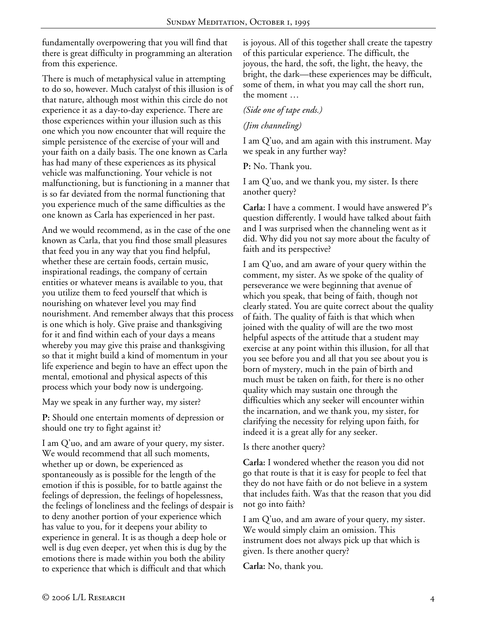fundamentally overpowering that you will find that there is great difficulty in programming an alteration from this experience.

There is much of metaphysical value in attempting to do so, however. Much catalyst of this illusion is of that nature, although most within this circle do not experience it as a day-to-day experience. There are those experiences within your illusion such as this one which you now encounter that will require the simple persistence of the exercise of your will and your faith on a daily basis. The one known as Carla has had many of these experiences as its physical vehicle was malfunctioning. Your vehicle is not malfunctioning, but is functioning in a manner that is so far deviated from the normal functioning that you experience much of the same difficulties as the one known as Carla has experienced in her past.

And we would recommend, as in the case of the one known as Carla, that you find those small pleasures that feed you in any way that you find helpful, whether these are certain foods, certain music, inspirational readings, the company of certain entities or whatever means is available to you, that you utilize them to feed yourself that which is nourishing on whatever level you may find nourishment. And remember always that this process is one which is holy. Give praise and thanksgiving for it and find within each of your days a means whereby you may give this praise and thanksgiving so that it might build a kind of momentum in your life experience and begin to have an effect upon the mental, emotional and physical aspects of this process which your body now is undergoing.

May we speak in any further way, my sister?

**P:** Should one entertain moments of depression or should one try to fight against it?

I am Q'uo, and am aware of your query, my sister. We would recommend that all such moments, whether up or down, be experienced as spontaneously as is possible for the length of the emotion if this is possible, for to battle against the feelings of depression, the feelings of hopelessness, the feelings of loneliness and the feelings of despair is to deny another portion of your experience which has value to you, for it deepens your ability to experience in general. It is as though a deep hole or well is dug even deeper, yet when this is dug by the emotions there is made within you both the ability to experience that which is difficult and that which

is joyous. All of this together shall create the tapestry of this particular experience. The difficult, the joyous, the hard, the soft, the light, the heavy, the bright, the dark—these experiences may be difficult, some of them, in what you may call the short run, the moment …

#### *(Side one of tape ends.)*

#### *(Jim channeling)*

I am Q'uo, and am again with this instrument. May we speak in any further way?

**P:** No. Thank you.

I am Q'uo, and we thank you, my sister. Is there another query?

**Carla:** I have a comment. I would have answered P's question differently. I would have talked about faith and I was surprised when the channeling went as it did. Why did you not say more about the faculty of faith and its perspective?

I am Q'uo, and am aware of your query within the comment, my sister. As we spoke of the quality of perseverance we were beginning that avenue of which you speak, that being of faith, though not clearly stated. You are quite correct about the quality of faith. The quality of faith is that which when joined with the quality of will are the two most helpful aspects of the attitude that a student may exercise at any point within this illusion, for all that you see before you and all that you see about you is born of mystery, much in the pain of birth and much must be taken on faith, for there is no other quality which may sustain one through the difficulties which any seeker will encounter within the incarnation, and we thank you, my sister, for clarifying the necessity for relying upon faith, for indeed it is a great ally for any seeker.

Is there another query?

**Carla:** I wondered whether the reason you did not go that route is that it is easy for people to feel that they do not have faith or do not believe in a system that includes faith. Was that the reason that you did not go into faith?

I am Q'uo, and am aware of your query, my sister. We would simply claim an omission. This instrument does not always pick up that which is given. Is there another query?

**Carla:** No, thank you.